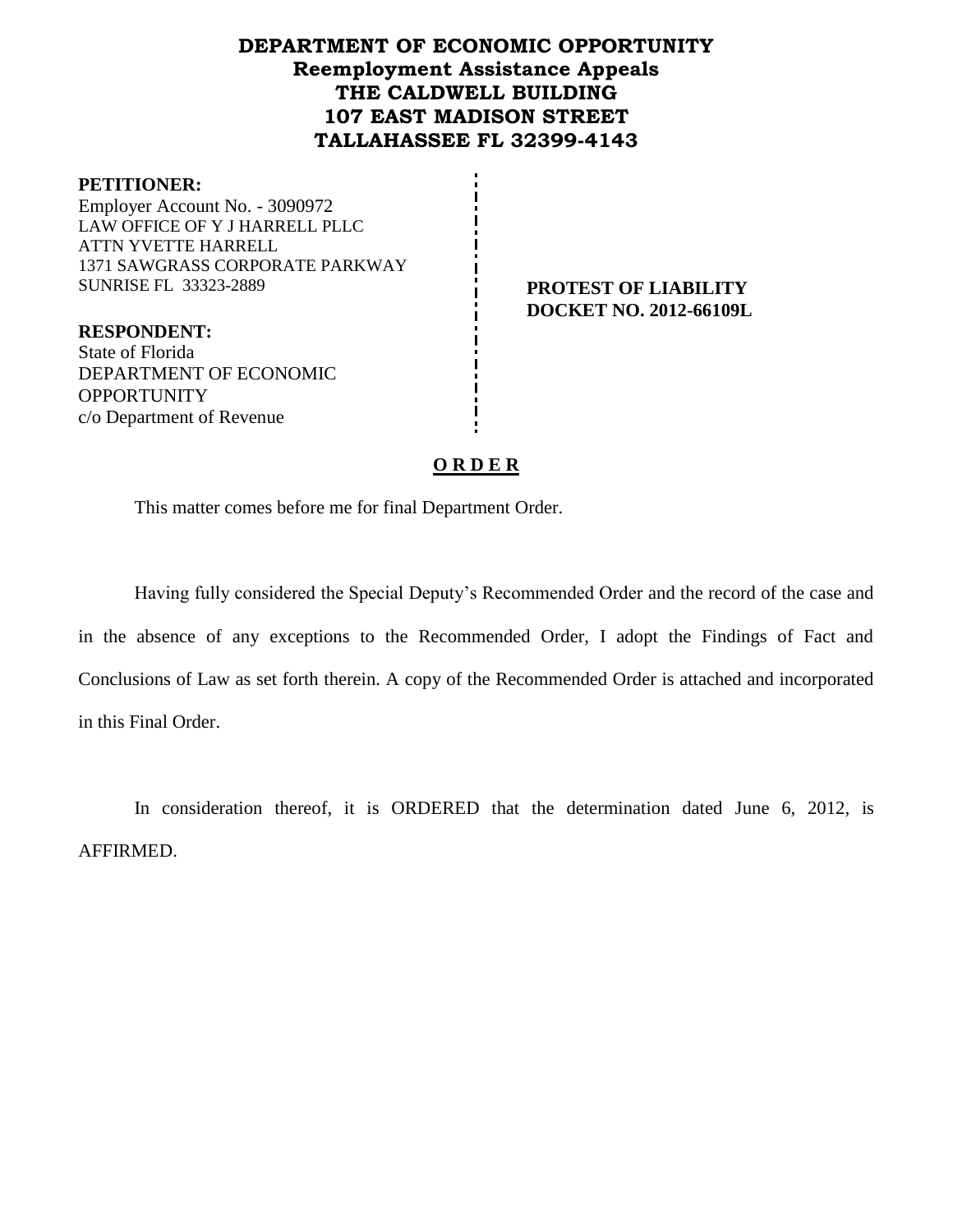# **DEPARTMENT OF ECONOMIC OPPORTUNITY Reemployment Assistance Appeals THE CALDWELL BUILDING 107 EAST MADISON STREET TALLAHASSEE FL 32399-4143**

**PETITIONER:** Employer Account No. - 3090972 LAW OFFICE OF Y J HARRELL PLLC ATTN YVETTE HARRELL 1371 SAWGRASS CORPORATE PARKWAY SUNRISE FL 33323-2889 **PROTEST OF LIABILITY**

**RESPONDENT:** State of Florida DEPARTMENT OF ECONOMIC **OPPORTUNITY** c/o Department of Revenue

**DOCKET NO. 2012-66109L**

## **O R D E R**

This matter comes before me for final Department Order.

Having fully considered the Special Deputy's Recommended Order and the record of the case and in the absence of any exceptions to the Recommended Order, I adopt the Findings of Fact and Conclusions of Law as set forth therein. A copy of the Recommended Order is attached and incorporated in this Final Order.

In consideration thereof, it is ORDERED that the determination dated June 6, 2012, is AFFIRMED.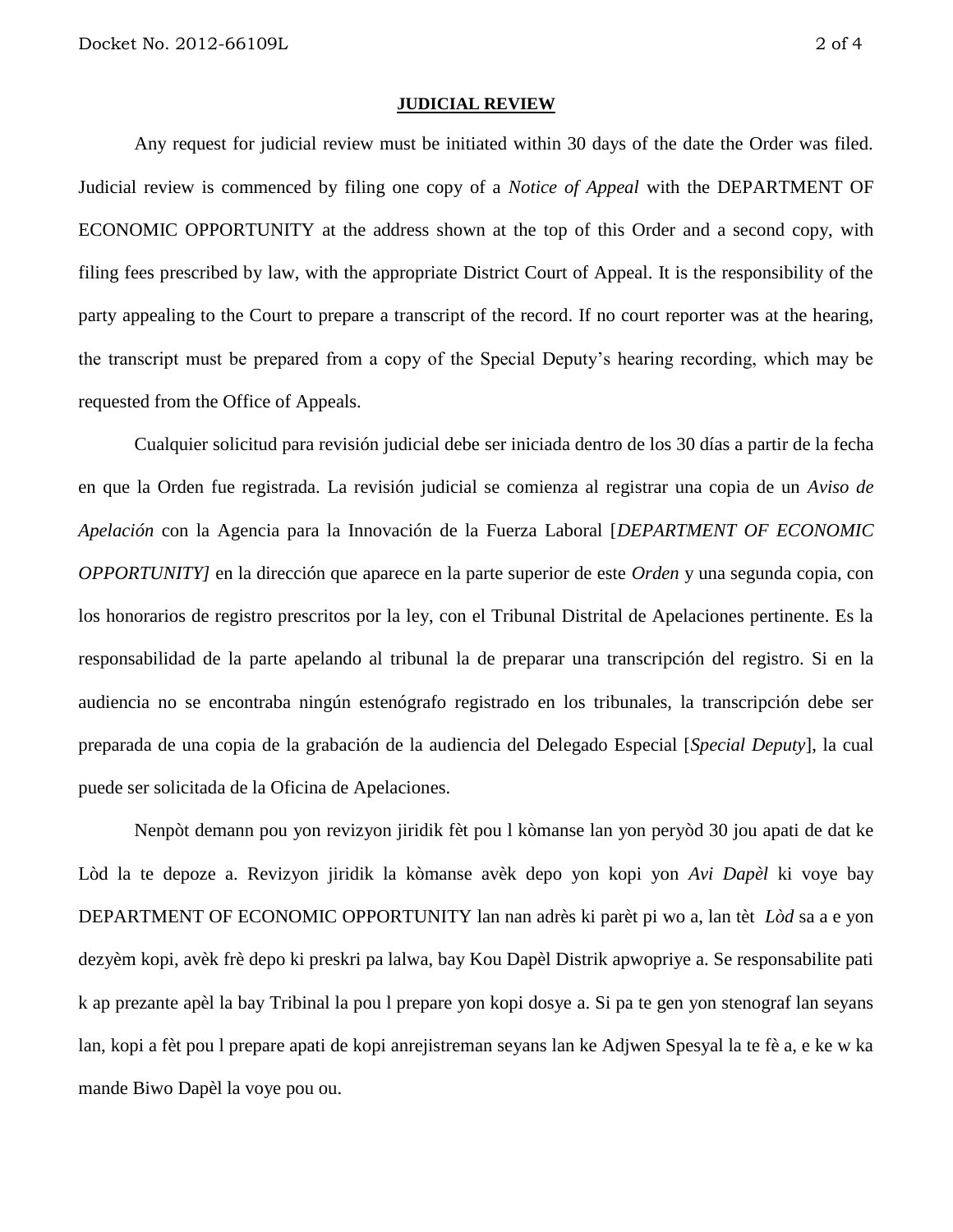#### **JUDICIAL REVIEW**

Any request for judicial review must be initiated within 30 days of the date the Order was filed. Judicial review is commenced by filing one copy of a *Notice of Appeal* with the DEPARTMENT OF ECONOMIC OPPORTUNITY at the address shown at the top of this Order and a second copy, with filing fees prescribed by law, with the appropriate District Court of Appeal. It is the responsibility of the party appealing to the Court to prepare a transcript of the record. If no court reporter was at the hearing, the transcript must be prepared from a copy of the Special Deputy's hearing recording, which may be requested from the Office of Appeals.

Cualquier solicitud para revisión judicial debe ser iniciada dentro de los 30 días a partir de la fecha en que la Orden fue registrada. La revisión judicial se comienza al registrar una copia de un *Aviso de Apelación* con la Agencia para la Innovación de la Fuerza Laboral [*DEPARTMENT OF ECONOMIC OPPORTUNITY]* en la dirección que aparece en la parte superior de este *Orden* y una segunda copia, con los honorarios de registro prescritos por la ley, con el Tribunal Distrital de Apelaciones pertinente. Es la responsabilidad de la parte apelando al tribunal la de preparar una transcripción del registro. Si en la audiencia no se encontraba ningún estenógrafo registrado en los tribunales, la transcripción debe ser preparada de una copia de la grabación de la audiencia del Delegado Especial [*Special Deputy*], la cual puede ser solicitada de la Oficina de Apelaciones.

Nenpòt demann pou yon revizyon jiridik fèt pou l kòmanse lan yon peryòd 30 jou apati de dat ke Lòd la te depoze a. Revizyon jiridik la kòmanse avèk depo yon kopi yon *Avi Dapèl* ki voye bay DEPARTMENT OF ECONOMIC OPPORTUNITY lan nan adrès ki parèt pi wo a, lan tèt *Lòd* sa a e yon dezyèm kopi, avèk frè depo ki preskri pa lalwa, bay Kou Dapèl Distrik apwopriye a. Se responsabilite pati k ap prezante apèl la bay Tribinal la pou l prepare yon kopi dosye a. Si pa te gen yon stenograf lan seyans lan, kopi a fèt pou l prepare apati de kopi anrejistreman seyans lan ke Adjwen Spesyal la te fè a, e ke w ka mande Biwo Dapèl la voye pou ou.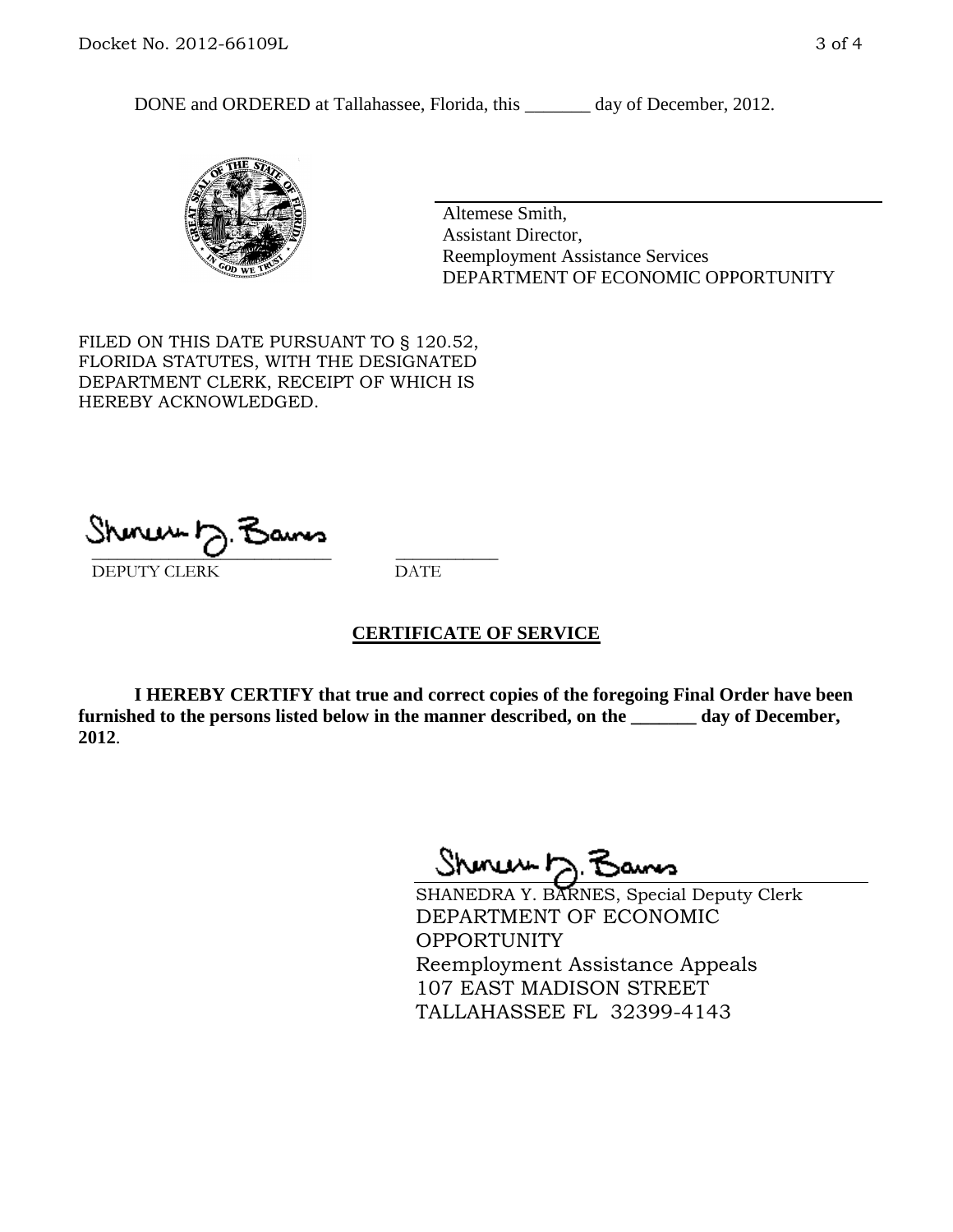DONE and ORDERED at Tallahassee, Florida, this \_\_\_\_\_\_\_ day of December, 2012.



Altemese Smith, Assistant Director, Reemployment Assistance Services DEPARTMENT OF ECONOMIC OPPORTUNITY

FILED ON THIS DATE PURSUANT TO § 120.52, FLORIDA STATUTES, WITH THE DESIGNATED DEPARTMENT CLERK, RECEIPT OF WHICH IS HEREBY ACKNOWLEDGED.

 $\overline{\phantom{a}}$  ,  $\overline{\phantom{a}}$  ,  $\overline{\phantom{a}}$  ,  $\overline{\phantom{a}}$  ,  $\overline{\phantom{a}}$  ,  $\overline{\phantom{a}}$  ,  $\overline{\phantom{a}}$  ,  $\overline{\phantom{a}}$  ,  $\overline{\phantom{a}}$  ,  $\overline{\phantom{a}}$  ,  $\overline{\phantom{a}}$  ,  $\overline{\phantom{a}}$  ,  $\overline{\phantom{a}}$  ,  $\overline{\phantom{a}}$  ,  $\overline{\phantom{a}}$  ,  $\overline{\phantom{a}}$ DEPUTY CLERK DATE

#### **CERTIFICATE OF SERVICE**

**I HEREBY CERTIFY that true and correct copies of the foregoing Final Order have been furnished to the persons listed below in the manner described, on the \_\_\_\_\_\_\_ day of December, 2012**.

Sheren J. Bams

SHANEDRA Y. BARNES, Special Deputy Clerk DEPARTMENT OF ECONOMIC OPPORTUNITY Reemployment Assistance Appeals 107 EAST MADISON STREET TALLAHASSEE FL 32399-4143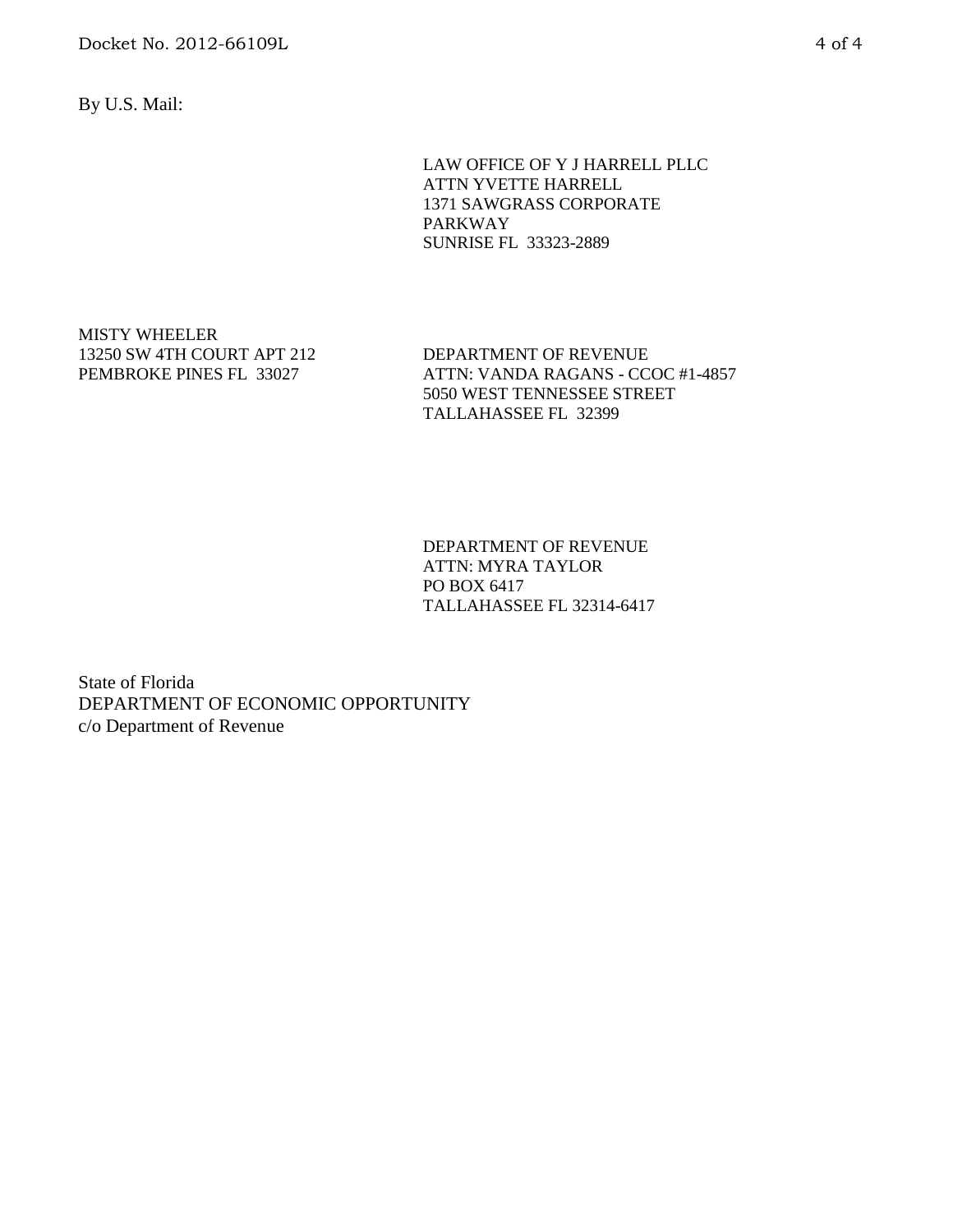Docket No. 2012-66109L 4 of 4

By U.S. Mail:

LAW OFFICE OF Y J HARRELL PLLC ATTN YVETTE HARRELL 1371 SAWGRASS CORPORATE PARKWAY SUNRISE FL 33323-2889

MISTY WHEELER 13250 SW 4TH COURT APT 212 PEMBROKE PINES FL 33027

DEPARTMENT OF REVENUE ATTN: VANDA RAGANS - CCOC #1-4857 5050 WEST TENNESSEE STREET TALLAHASSEE FL 32399

DEPARTMENT OF REVENUE ATTN: MYRA TAYLOR PO BOX 6417 TALLAHASSEE FL 32314-6417

State of Florida DEPARTMENT OF ECONOMIC OPPORTUNITY c/o Department of Revenue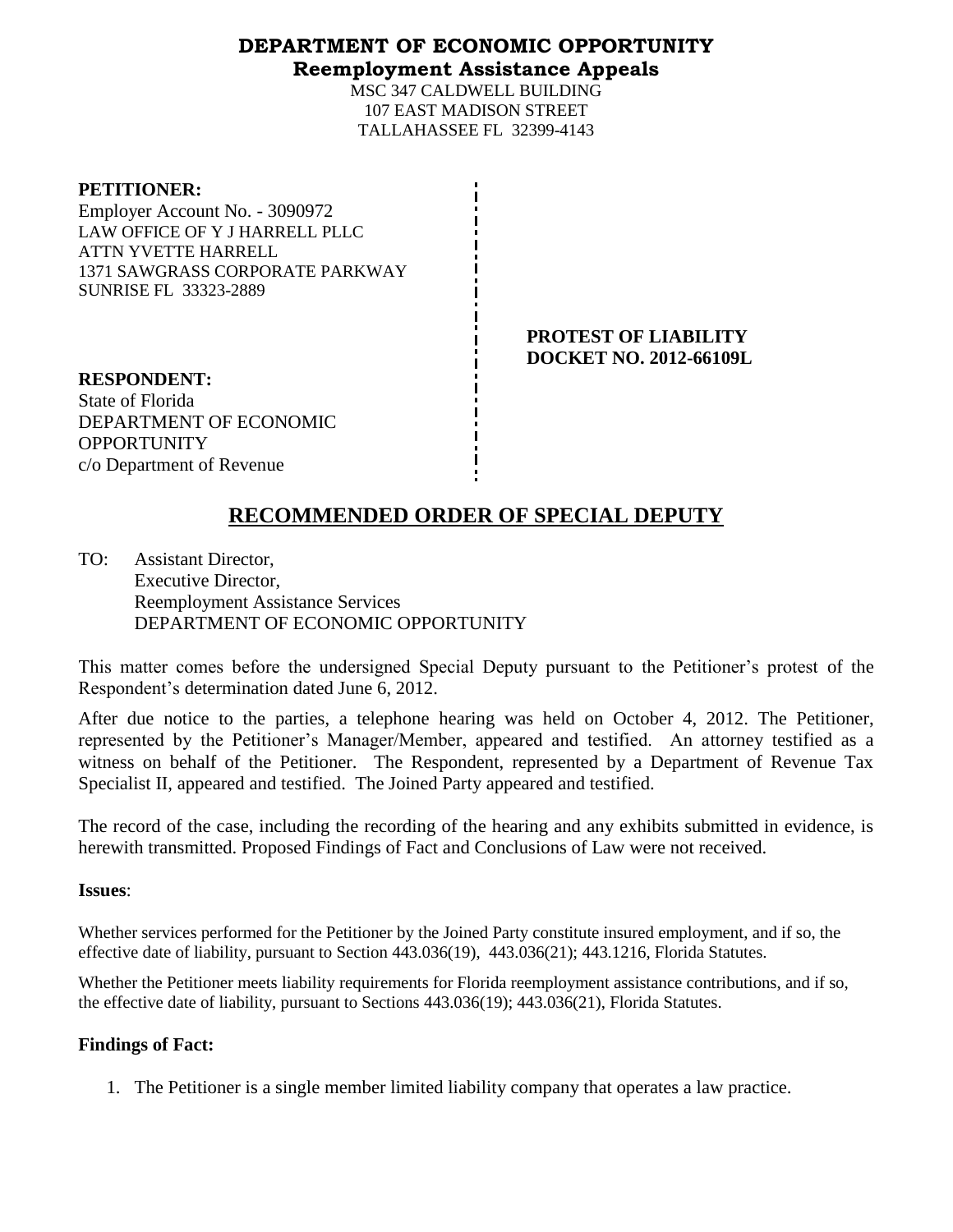### **DEPARTMENT OF ECONOMIC OPPORTUNITY Reemployment Assistance Appeals**

MSC 347 CALDWELL BUILDING 107 EAST MADISON STREET TALLAHASSEE FL 32399-4143

| <b>PETITIONER:</b>              |
|---------------------------------|
| Employer Account No. - 3090972  |
| LAW OFFICE OF Y J HARRELL PLLC  |
| ATTN YVETTE HARRELL             |
| 1371 SAWGRASS CORPORATE PARKWAY |
| <b>SUNRISE FL 33323-2889</b>    |

**PROTEST OF LIABILITY DOCKET NO. 2012-66109L**

**RESPONDENT:** State of Florida DEPARTMENT OF ECONOMIC **OPPORTUNITY** c/o Department of Revenue

# **RECOMMENDED ORDER OF SPECIAL DEPUTY**

TO: Assistant Director, Executive Director, Reemployment Assistance Services DEPARTMENT OF ECONOMIC OPPORTUNITY

This matter comes before the undersigned Special Deputy pursuant to the Petitioner's protest of the Respondent's determination dated June 6, 2012.

After due notice to the parties, a telephone hearing was held on October 4, 2012. The Petitioner, represented by the Petitioner's Manager/Member, appeared and testified. An attorney testified as a witness on behalf of the Petitioner. The Respondent, represented by a Department of Revenue Tax Specialist II, appeared and testified. The Joined Party appeared and testified.

The record of the case, including the recording of the hearing and any exhibits submitted in evidence, is herewith transmitted. Proposed Findings of Fact and Conclusions of Law were not received.

#### **Issues**:

Whether services performed for the Petitioner by the Joined Party constitute insured employment, and if so, the effective date of liability, pursuant to Section 443.036(19), 443.036(21); 443.1216, Florida Statutes.

Whether the Petitioner meets liability requirements for Florida reemployment assistance contributions, and if so, the effective date of liability, pursuant to Sections 443.036(19); 443.036(21), Florida Statutes.

#### **Findings of Fact:**

1. The Petitioner is a single member limited liability company that operates a law practice.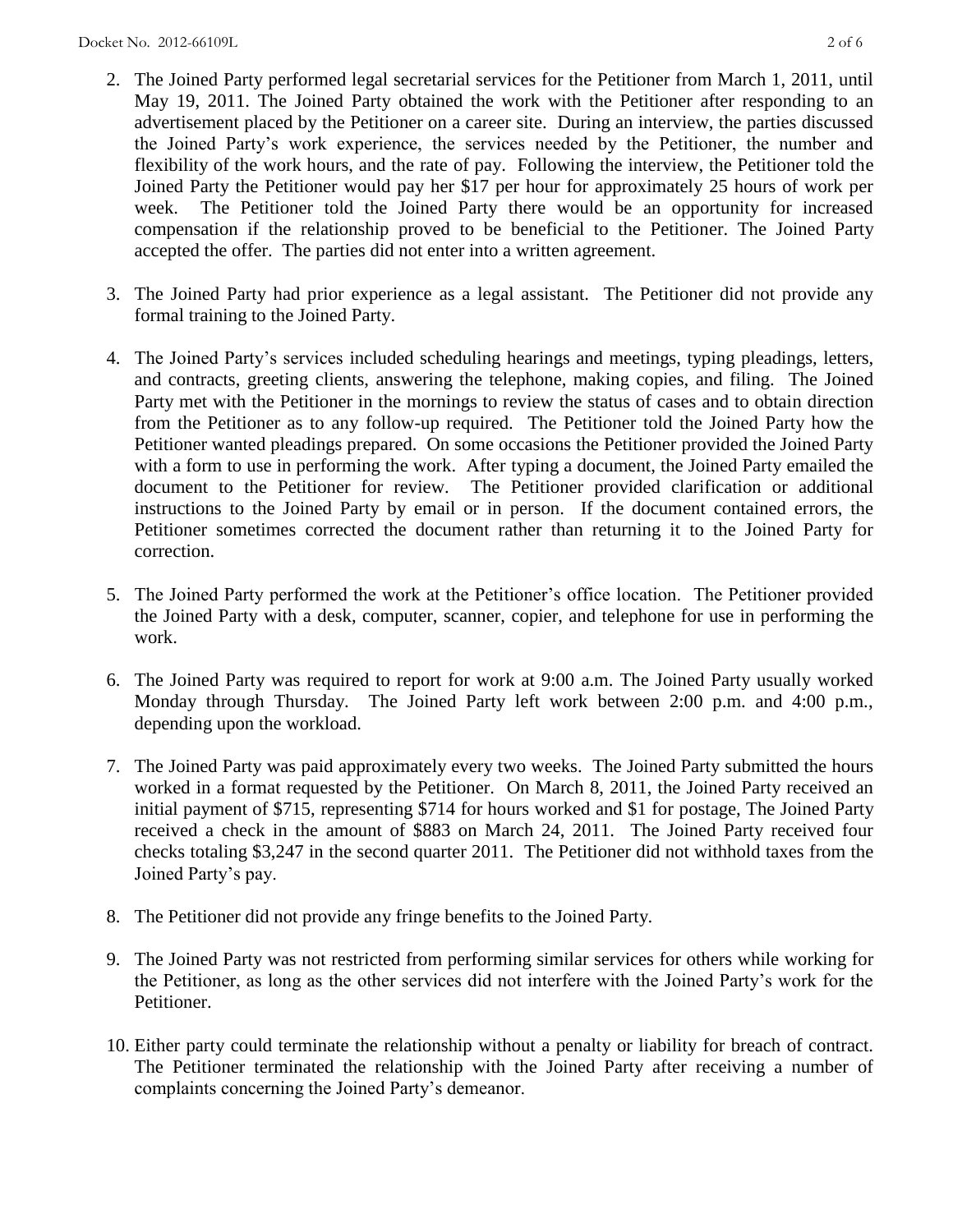- 2. The Joined Party performed legal secretarial services for the Petitioner from March 1, 2011, until May 19, 2011. The Joined Party obtained the work with the Petitioner after responding to an advertisement placed by the Petitioner on a career site. During an interview, the parties discussed the Joined Party's work experience, the services needed by the Petitioner, the number and flexibility of the work hours, and the rate of pay. Following the interview, the Petitioner told the Joined Party the Petitioner would pay her \$17 per hour for approximately 25 hours of work per week. The Petitioner told the Joined Party there would be an opportunity for increased compensation if the relationship proved to be beneficial to the Petitioner. The Joined Party accepted the offer. The parties did not enter into a written agreement.
- 3. The Joined Party had prior experience as a legal assistant. The Petitioner did not provide any formal training to the Joined Party.
- 4. The Joined Party's services included scheduling hearings and meetings, typing pleadings, letters, and contracts, greeting clients, answering the telephone, making copies, and filing. The Joined Party met with the Petitioner in the mornings to review the status of cases and to obtain direction from the Petitioner as to any follow-up required. The Petitioner told the Joined Party how the Petitioner wanted pleadings prepared. On some occasions the Petitioner provided the Joined Party with a form to use in performing the work. After typing a document, the Joined Party emailed the document to the Petitioner for review. The Petitioner provided clarification or additional instructions to the Joined Party by email or in person. If the document contained errors, the Petitioner sometimes corrected the document rather than returning it to the Joined Party for correction.
- 5. The Joined Party performed the work at the Petitioner's office location. The Petitioner provided the Joined Party with a desk, computer, scanner, copier, and telephone for use in performing the work.
- 6. The Joined Party was required to report for work at 9:00 a.m. The Joined Party usually worked Monday through Thursday. The Joined Party left work between 2:00 p.m. and 4:00 p.m., depending upon the workload.
- 7. The Joined Party was paid approximately every two weeks. The Joined Party submitted the hours worked in a format requested by the Petitioner. On March 8, 2011, the Joined Party received an initial payment of \$715, representing \$714 for hours worked and \$1 for postage, The Joined Party received a check in the amount of \$883 on March 24, 2011. The Joined Party received four checks totaling \$3,247 in the second quarter 2011. The Petitioner did not withhold taxes from the Joined Party's pay.
- 8. The Petitioner did not provide any fringe benefits to the Joined Party.
- 9. The Joined Party was not restricted from performing similar services for others while working for the Petitioner, as long as the other services did not interfere with the Joined Party's work for the Petitioner.
- 10. Either party could terminate the relationship without a penalty or liability for breach of contract. The Petitioner terminated the relationship with the Joined Party after receiving a number of complaints concerning the Joined Party's demeanor.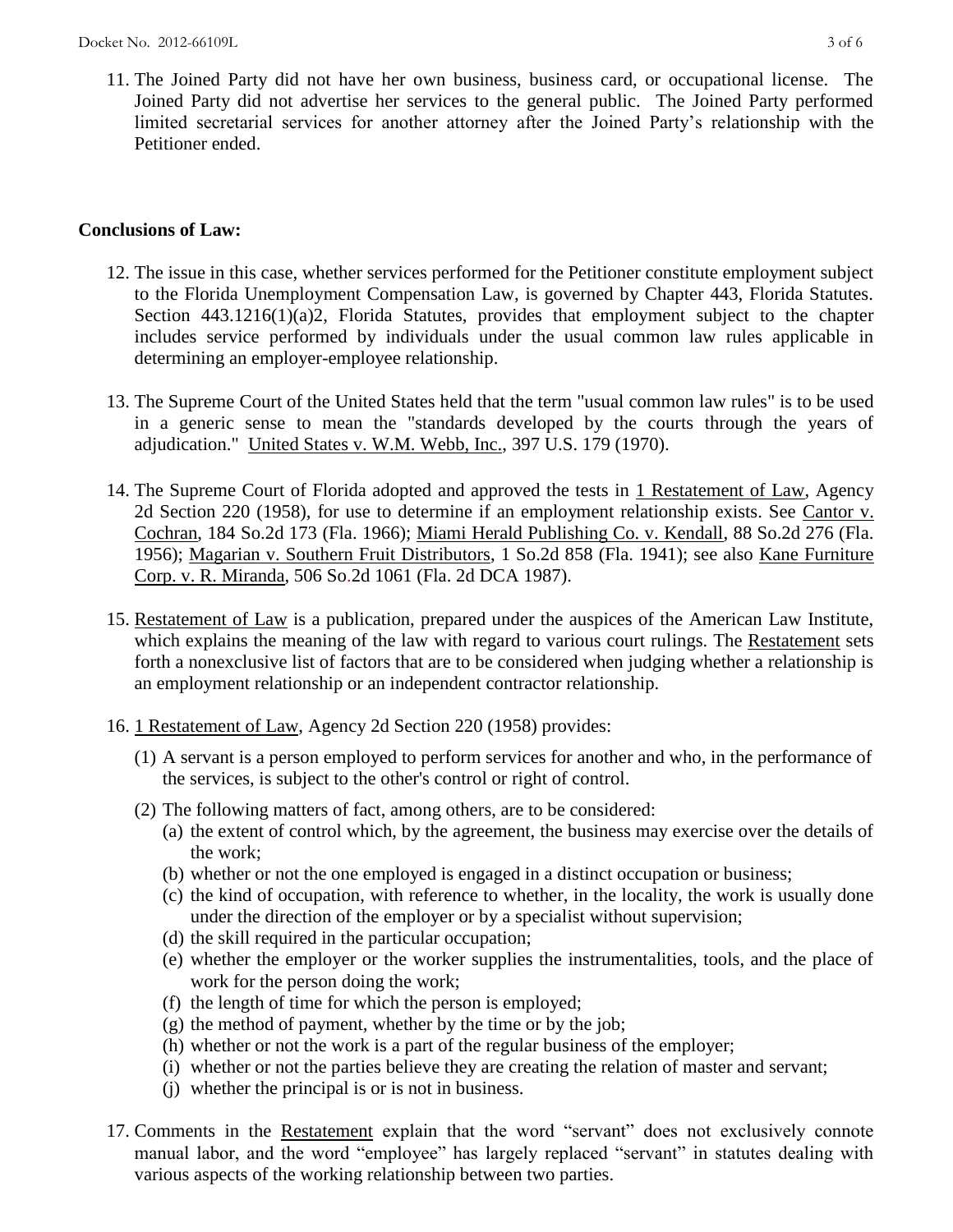11. The Joined Party did not have her own business, business card, or occupational license. The Joined Party did not advertise her services to the general public. The Joined Party performed limited secretarial services for another attorney after the Joined Party's relationship with the Petitioner ended.

#### **Conclusions of Law:**

- 12. The issue in this case, whether services performed for the Petitioner constitute employment subject to the Florida Unemployment Compensation Law, is governed by Chapter 443, Florida Statutes. Section 443.1216(1)(a)2, Florida Statutes, provides that employment subject to the chapter includes service performed by individuals under the usual common law rules applicable in determining an employer-employee relationship.
- 13. The Supreme Court of the United States held that the term "usual common law rules" is to be used in a generic sense to mean the "standards developed by the courts through the years of adjudication." United States v. W.M. Webb, Inc., 397 U.S. 179 (1970).
- 14. The Supreme Court of Florida adopted and approved the tests in 1 Restatement of Law, Agency 2d Section 220 (1958), for use to determine if an employment relationship exists. See Cantor v. Cochran, 184 So.2d 173 (Fla. 1966); Miami Herald Publishing Co. v. Kendall, 88 So.2d 276 (Fla. 1956); Magarian v. Southern Fruit Distributors, 1 So.2d 858 (Fla. 1941); see also Kane Furniture Corp. v. R. Miranda, 506 So.2d 1061 (Fla. 2d DCA 1987).
- 15. Restatement of Law is a publication, prepared under the auspices of the American Law Institute, which explains the meaning of the law with regard to various court rulings. The Restatement sets forth a nonexclusive list of factors that are to be considered when judging whether a relationship is an employment relationship or an independent contractor relationship.
- 16. 1 Restatement of Law, Agency 2d Section 220 (1958) provides:
	- (1) A servant is a person employed to perform services for another and who, in the performance of the services, is subject to the other's control or right of control.
	- (2) The following matters of fact, among others, are to be considered:
		- (a) the extent of control which, by the agreement, the business may exercise over the details of the work;
		- (b) whether or not the one employed is engaged in a distinct occupation or business;
		- (c) the kind of occupation, with reference to whether, in the locality, the work is usually done under the direction of the employer or by a specialist without supervision;
		- (d) the skill required in the particular occupation;
		- (e) whether the employer or the worker supplies the instrumentalities, tools, and the place of work for the person doing the work;
		- (f) the length of time for which the person is employed;
		- $(g)$  the method of payment, whether by the time or by the job;
		- (h) whether or not the work is a part of the regular business of the employer;
		- (i) whether or not the parties believe they are creating the relation of master and servant;
		- (j) whether the principal is or is not in business.
- 17. Comments in the Restatement explain that the word "servant" does not exclusively connote manual labor, and the word "employee" has largely replaced "servant" in statutes dealing with various aspects of the working relationship between two parties.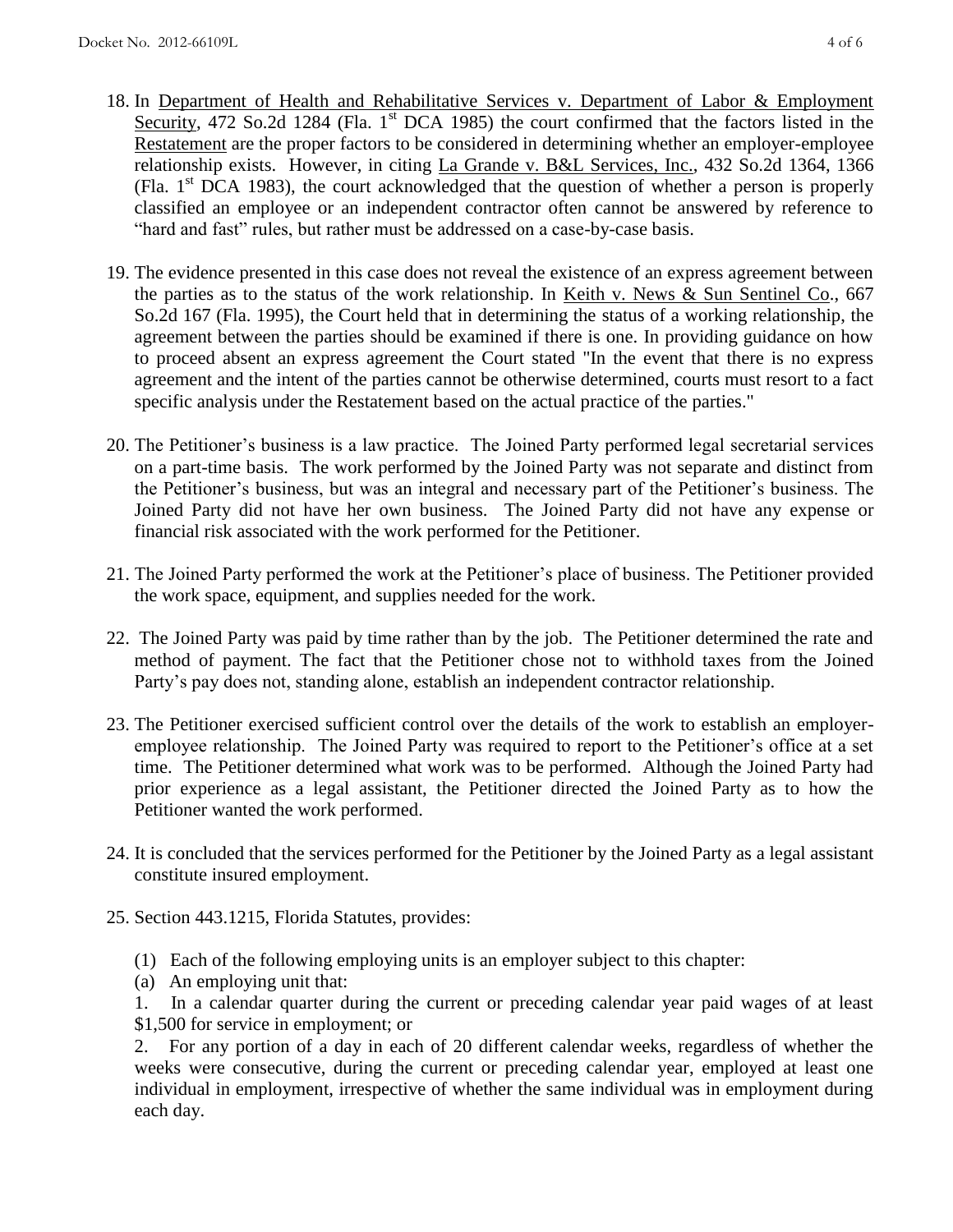- 18. In Department of Health and Rehabilitative Services v. Department of Labor & Employment Security, 472 So.2d 1284 (Fla. 1<sup>st</sup> DCA 1985) the court confirmed that the factors listed in the Restatement are the proper factors to be considered in determining whether an employer-employee relationship exists. However, in citing La Grande v. B&L Services, Inc., 432 So.2d 1364, 1366 (Fla.  $1<sup>st</sup> DCA$  1983), the court acknowledged that the question of whether a person is properly classified an employee or an independent contractor often cannot be answered by reference to "hard and fast" rules, but rather must be addressed on a case-by-case basis.
- 19. The evidence presented in this case does not reveal the existence of an express agreement between the parties as to the status of the work relationship. In Keith v. News & Sun Sentinel Co., 667 So.2d 167 (Fla. 1995), the Court held that in determining the status of a working relationship, the agreement between the parties should be examined if there is one. In providing guidance on how to proceed absent an express agreement the Court stated "In the event that there is no express agreement and the intent of the parties cannot be otherwise determined, courts must resort to a fact specific analysis under the Restatement based on the actual practice of the parties."
- 20. The Petitioner's business is a law practice. The Joined Party performed legal secretarial services on a part-time basis. The work performed by the Joined Party was not separate and distinct from the Petitioner's business, but was an integral and necessary part of the Petitioner's business. The Joined Party did not have her own business. The Joined Party did not have any expense or financial risk associated with the work performed for the Petitioner.
- 21. The Joined Party performed the work at the Petitioner's place of business. The Petitioner provided the work space, equipment, and supplies needed for the work.
- 22. The Joined Party was paid by time rather than by the job. The Petitioner determined the rate and method of payment. The fact that the Petitioner chose not to withhold taxes from the Joined Party's pay does not, standing alone, establish an independent contractor relationship.
- 23. The Petitioner exercised sufficient control over the details of the work to establish an employeremployee relationship. The Joined Party was required to report to the Petitioner's office at a set time. The Petitioner determined what work was to be performed. Although the Joined Party had prior experience as a legal assistant, the Petitioner directed the Joined Party as to how the Petitioner wanted the work performed.
- 24. It is concluded that the services performed for the Petitioner by the Joined Party as a legal assistant constitute insured employment.
- 25. Section 443.1215, Florida Statutes, provides:
	- (1) Each of the following employing units is an employer subject to this chapter:
	- (a) An employing unit that:

1. In a calendar quarter during the current or preceding calendar year paid wages of at least \$1,500 for service in employment; or

2. For any portion of a day in each of 20 different calendar weeks, regardless of whether the weeks were consecutive, during the current or preceding calendar year, employed at least one individual in employment, irrespective of whether the same individual was in employment during each day.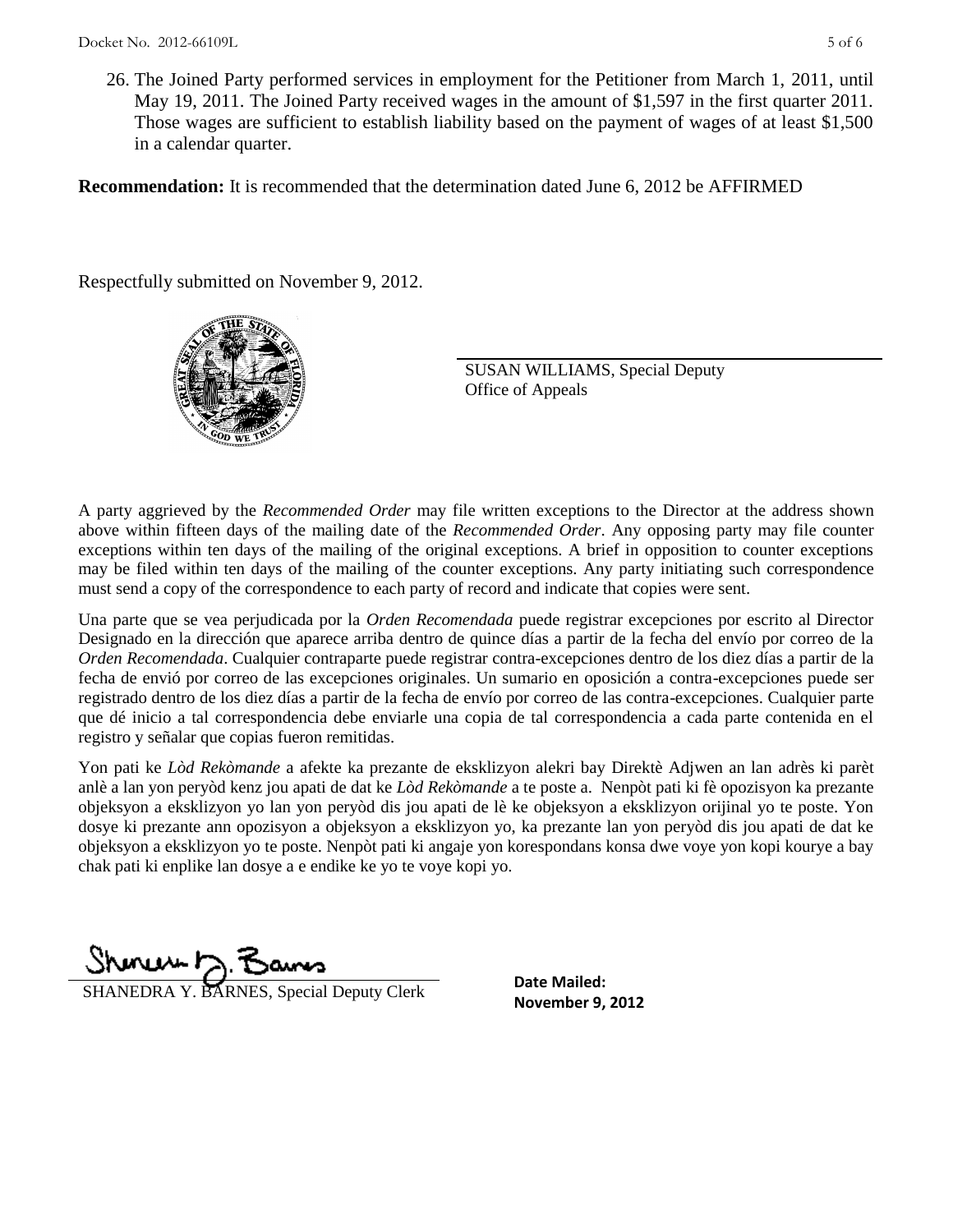26. The Joined Party performed services in employment for the Petitioner from March 1, 2011, until May 19, 2011. The Joined Party received wages in the amount of \$1,597 in the first quarter 2011. Those wages are sufficient to establish liability based on the payment of wages of at least \$1,500 in a calendar quarter.

**Recommendation:** It is recommended that the determination dated June 6, 2012 be AFFIRMED

Respectfully submitted on November 9, 2012.



SUSAN WILLIAMS, Special Deputy Office of Appeals

A party aggrieved by the *Recommended Order* may file written exceptions to the Director at the address shown above within fifteen days of the mailing date of the *Recommended Order*. Any opposing party may file counter exceptions within ten days of the mailing of the original exceptions. A brief in opposition to counter exceptions may be filed within ten days of the mailing of the counter exceptions. Any party initiating such correspondence must send a copy of the correspondence to each party of record and indicate that copies were sent.

Una parte que se vea perjudicada por la *Orden Recomendada* puede registrar excepciones por escrito al Director Designado en la dirección que aparece arriba dentro de quince días a partir de la fecha del envío por correo de la *Orden Recomendada*. Cualquier contraparte puede registrar contra-excepciones dentro de los diez días a partir de la fecha de envió por correo de las excepciones originales. Un sumario en oposición a contra-excepciones puede ser registrado dentro de los diez días a partir de la fecha de envío por correo de las contra-excepciones. Cualquier parte que dé inicio a tal correspondencia debe enviarle una copia de tal correspondencia a cada parte contenida en el registro y señalar que copias fueron remitidas.

Yon pati ke *Lòd Rekòmande* a afekte ka prezante de eksklizyon alekri bay Direktè Adjwen an lan adrès ki parèt anlè a lan yon peryòd kenz jou apati de dat ke *Lòd Rekòmande* a te poste a. Nenpòt pati ki fè opozisyon ka prezante objeksyon a eksklizyon yo lan yon peryòd dis jou apati de lè ke objeksyon a eksklizyon orijinal yo te poste. Yon dosye ki prezante ann opozisyon a objeksyon a eksklizyon yo, ka prezante lan yon peryòd dis jou apati de dat ke objeksyon a eksklizyon yo te poste. Nenpòt pati ki angaje yon korespondans konsa dwe voye yon kopi kourye a bay chak pati ki enplike lan dosye a e endike ke yo te voye kopi yo.

Shoner ha

**DRA Y. BARNES, Special Deputy Clerk November 9, 2012** 

**Date Mailed:**